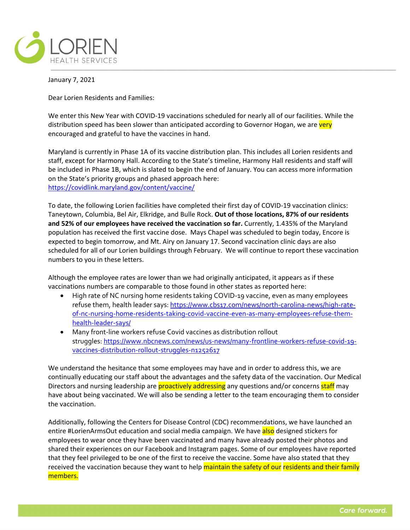

January 7, 2021

Dear Lorien Residents and Families:

We enter this New Year with COVID-19 vaccinations scheduled for nearly all of our facilities. While the distribution speed has been slower than anticipated according to Governor Hogan, we are very encouraged and grateful to have the vaccines in hand.

Maryland is currently in Phase 1A of its vaccine distribution plan. This includes all Lorien residents and staff, except for Harmony Hall. According to the State's timeline, Harmony Hall residents and staff will be included in Phase 1B, which is slated to begin the end of January. You can access more information on the State's priority groups and phased approach here: <https://covidlink.maryland.gov/content/vaccine/>

To date, the following Lorien facilities have completed their first day of COVID-19 vaccination clinics: Taneytown, Columbia, Bel Air, Elkridge, and Bulle Rock. **Out of those locations, 87% of our residents and 52% of our employees have received the vaccination so far.** Currently, 1.435% of the Maryland population has received the first vaccine dose. Mays Chapel was scheduled to begin today, Encore is expected to begin tomorrow, and Mt. Airy on January 17. Second vaccination clinic days are also scheduled for all of our Lorien buildings through February. We will continue to report these vaccination numbers to you in these letters.

Although the employee rates are lower than we had originally anticipated, it appears as if these vaccinations numbers are comparable to those found in other states as reported here:

- High rate of NC nursing home residents taking COVID-19 vaccine, even as many employees refuse them, health leader says: [https://www.cbs17.com/news/north-carolina-news/high-rate](https://urldefense.proofpoint.com/v2/url?u=https-3A__www.cbs17.com_news_north-2Dcarolina-2Dnews_high-2Drate-2Dof-2Dnc-2Dnursing-2Dhome-2Dresidents-2Dtaking-2Dcovid-2Dvaccine-2Deven-2Das-2Dmany-2Demployees-2Drefuse-2Dthem-2Dhealth-2Dleader-2Dsays_&d=DwQGaQ&c=euGZstcaTDllvimEN8b7jXrwqOf-v5A_CdpgnVfiiMM&r=EZiLHt2oafWje0gJ2p5RDbi2lMTQlrV5MUwLw8hcmzU&m=DHByFtMjCApSDotDuVor1V3e8g5q8i68wrSP_bOz6TM&s=cXcNdkZEANGURMuGbW8pw147vW69Y9Gg-raSASWUg4Q&e=)[of-nc-nursing-home-residents-taking-covid-vaccine-even-as-many-employees-refuse-them](https://urldefense.proofpoint.com/v2/url?u=https-3A__www.cbs17.com_news_north-2Dcarolina-2Dnews_high-2Drate-2Dof-2Dnc-2Dnursing-2Dhome-2Dresidents-2Dtaking-2Dcovid-2Dvaccine-2Deven-2Das-2Dmany-2Demployees-2Drefuse-2Dthem-2Dhealth-2Dleader-2Dsays_&d=DwQGaQ&c=euGZstcaTDllvimEN8b7jXrwqOf-v5A_CdpgnVfiiMM&r=EZiLHt2oafWje0gJ2p5RDbi2lMTQlrV5MUwLw8hcmzU&m=DHByFtMjCApSDotDuVor1V3e8g5q8i68wrSP_bOz6TM&s=cXcNdkZEANGURMuGbW8pw147vW69Y9Gg-raSASWUg4Q&e=)[health-leader-says/](https://urldefense.proofpoint.com/v2/url?u=https-3A__www.cbs17.com_news_north-2Dcarolina-2Dnews_high-2Drate-2Dof-2Dnc-2Dnursing-2Dhome-2Dresidents-2Dtaking-2Dcovid-2Dvaccine-2Deven-2Das-2Dmany-2Demployees-2Drefuse-2Dthem-2Dhealth-2Dleader-2Dsays_&d=DwQGaQ&c=euGZstcaTDllvimEN8b7jXrwqOf-v5A_CdpgnVfiiMM&r=EZiLHt2oafWje0gJ2p5RDbi2lMTQlrV5MUwLw8hcmzU&m=DHByFtMjCApSDotDuVor1V3e8g5q8i68wrSP_bOz6TM&s=cXcNdkZEANGURMuGbW8pw147vW69Y9Gg-raSASWUg4Q&e=)
- Many front-line workers refuse Covid vaccines as distribution rollout struggles: [https://www.nbcnews.com/news/us-news/many-frontline-workers-refuse-covid-19](https://urldefense.proofpoint.com/v2/url?u=https-3A__www.nbcnews.com_news_us-2Dnews_many-2Dfrontline-2Dworkers-2Drefuse-2Dcovid-2D19-2Dvaccines-2Ddistribution-2Drollout-2Dstruggles-2Dn1252617&d=DwQGaQ&c=euGZstcaTDllvimEN8b7jXrwqOf-v5A_CdpgnVfiiMM&r=EZiLHt2oafWje0gJ2p5RDbi2lMTQlrV5MUwLw8hcmzU&m=DHByFtMjCApSDotDuVor1V3e8g5q8i68wrSP_bOz6TM&s=aJVvWPDoq8-gpmpE-dy677cz4fYCHsyJaMP5_2jddMQ&e=) [vaccines-distribution-rollout-struggles-n1252617](https://urldefense.proofpoint.com/v2/url?u=https-3A__www.nbcnews.com_news_us-2Dnews_many-2Dfrontline-2Dworkers-2Drefuse-2Dcovid-2D19-2Dvaccines-2Ddistribution-2Drollout-2Dstruggles-2Dn1252617&d=DwQGaQ&c=euGZstcaTDllvimEN8b7jXrwqOf-v5A_CdpgnVfiiMM&r=EZiLHt2oafWje0gJ2p5RDbi2lMTQlrV5MUwLw8hcmzU&m=DHByFtMjCApSDotDuVor1V3e8g5q8i68wrSP_bOz6TM&s=aJVvWPDoq8-gpmpE-dy677cz4fYCHsyJaMP5_2jddMQ&e=)

We understand the hesitance that some employees may have and in order to address this, we are continually educating our staff about the advantages and the safety data of the vaccination. Our Medical Directors and nursing leadership are **proactively addressing** any questions and/or concerns **staff** may have about being vaccinated. We will also be sending a letter to the team encouraging them to consider the vaccination.

Additionally, following the Centers for Disease Control (CDC) recommendations, we have launched an entire #LorienArmsOut education and social media campaign. We have also designed stickers for employees to wear once they have been vaccinated and many have already posted their photos and shared their experiences on our Facebook and Instagram pages. Some of our employees have reported that they feel privileged to be one of the first to receive the vaccine. Some have also stated that they received the vaccination because they want to help maintain the safety of our residents and their family members.